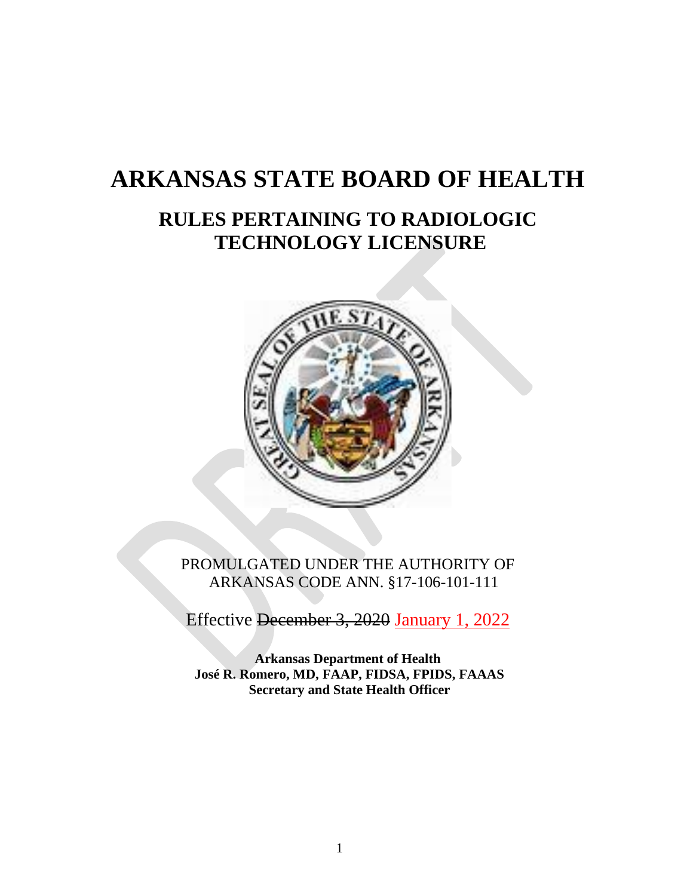# **ARKANSAS STATE BOARD OF HEALTH**

## **RULES PERTAINING TO RADIOLOGIC TECHNOLOGY LICENSURE**



PROMULGATED UNDER THE AUTHORITY OF ARKANSAS CODE ANN. §17-106-101-111

Effective December 3, 2020 January 1, 2022

**Arkansas Department of Health José R. Romero, MD, FAAP, FIDSA, FPIDS, FAAAS Secretary and State Health Officer**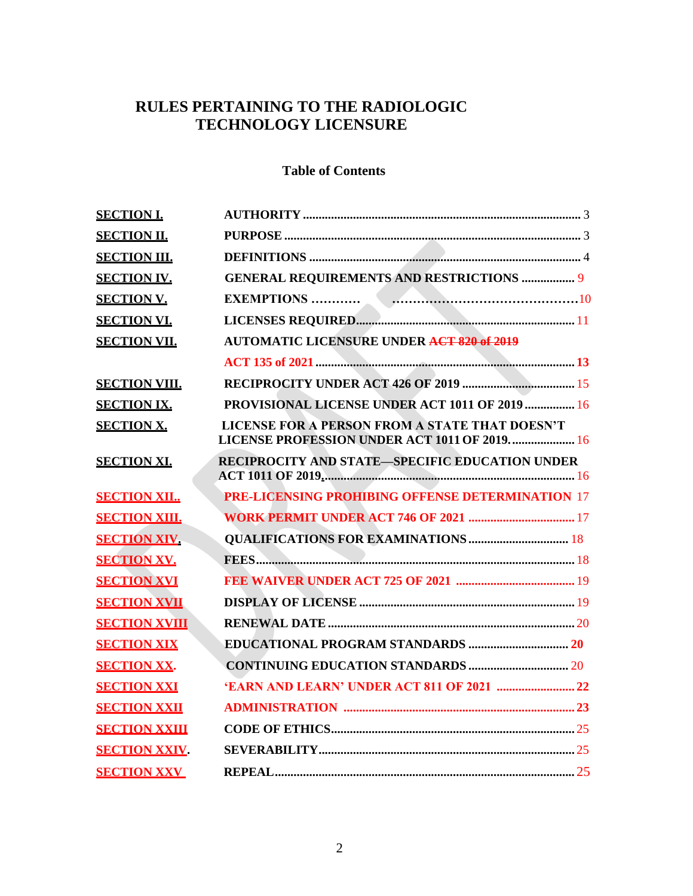## **RULES PERTAINING TO THE RADIOLOGIC TECHNOLOGY LICENSURE**

## **Table of Contents**

| <b>SECTION I.</b>    |                                                                                                |
|----------------------|------------------------------------------------------------------------------------------------|
| <b>SECTION II.</b>   |                                                                                                |
| <b>SECTION III.</b>  |                                                                                                |
| <b>SECTION IV.</b>   | <b>GENERAL REQUIREMENTS AND RESTRICTIONS  9</b>                                                |
| <b>SECTION V.</b>    | <b>EXEMPTIONS</b>                                                                              |
| <b>SECTION VI.</b>   |                                                                                                |
| <b>SECTION VII.</b>  | <b>AUTOMATIC LICENSURE UNDER ACT 820 of 2019</b>                                               |
|                      |                                                                                                |
| <b>SECTION VIII.</b> |                                                                                                |
| <b>SECTION IX.</b>   | PROVISIONAL LICENSE UNDER ACT 1011 OF 2019  16                                                 |
| <b>SECTION X.</b>    | LICENSE FOR A PERSON FROM A STATE THAT DOESN'T<br>LICENSE PROFESSION UNDER ACT 1011 OF 2019 16 |
| <b>SECTION XI.</b>   | <b>RECIPROCITY AND STATE-SPECIFIC EDUCATION UNDER</b>                                          |
| <b>SECTION XII</b>   | <b>PRE-LICENSING PROHIBING OFFENSE DETERMINATION 17</b>                                        |
| <b>SECTION XIII.</b> | <b>WORK PERMIT UNDER ACT 746 OF 2021 </b> 17                                                   |
| <b>SECTION XIV.</b>  | <b>QUALIFICATIONS FOR EXAMINATIONS  18</b>                                                     |
| <b>SECTION XV.</b>   |                                                                                                |
| <b>SECTION XVI</b>   |                                                                                                |
| <b>SECTION XVII</b>  |                                                                                                |
| <b>SECTION XVIII</b> |                                                                                                |
| <b>SECTION XIX</b>   |                                                                                                |
| <b>SECTION XX.</b>   |                                                                                                |
| <b>SECTION XXI</b>   |                                                                                                |
| <b>SECTION XXII</b>  |                                                                                                |
| <b>SECTION XXIII</b> |                                                                                                |
| <b>SECTION XXIV</b>  |                                                                                                |
| <b>SECTION XXV</b>   |                                                                                                |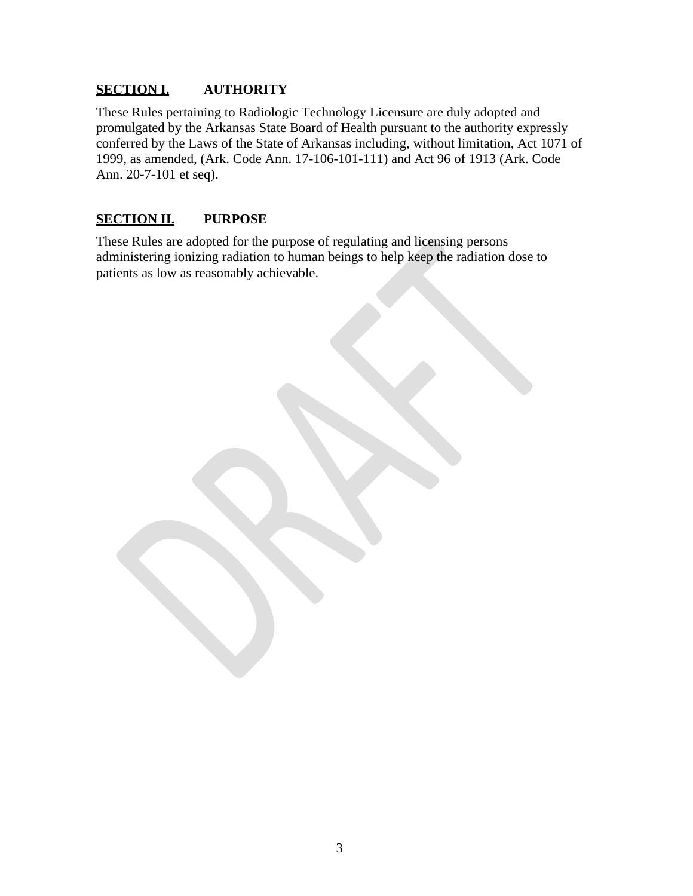#### **SECTION I. AUTHORITY**

These Rules pertaining to Radiologic Technology Licensure are duly adopted and promulgated by the Arkansas State Board of Health pursuant to the authority expressly conferred by the Laws of the State of Arkansas including, without limitation, Act 1071 of 1999, as amended, (Ark. Code Ann. 17-106-101-111) and Act 96 of 1913 (Ark. Code Ann. 20-7-101 et seq).

#### **SECTION II. PURPOSE**

These Rules are adopted for the purpose of regulating and licensing persons administering ionizing radiation to human beings to help keep the radiation dose to patients as low as reasonably achievable.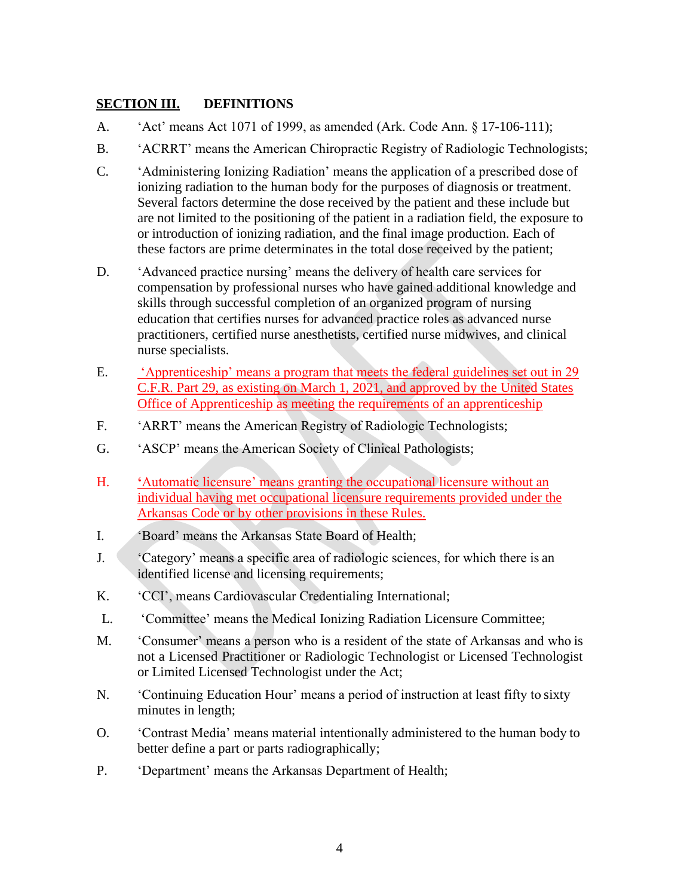#### **SECTION III. DEFINITIONS**

- A. 'Act' means Act 1071 of 1999, as amended (Ark. Code Ann. § 17-106-111);
- B. 'ACRRT' means the American Chiropractic Registry of Radiologic Technologists;
- C. 'Administering Ionizing Radiation' means the application of a prescribed dose of ionizing radiation to the human body for the purposes of diagnosis or treatment. Several factors determine the dose received by the patient and these include but are not limited to the positioning of the patient in a radiation field, the exposure to or introduction of ionizing radiation, and the final image production. Each of these factors are prime determinates in the total dose received by the patient;
- D. 'Advanced practice nursing' means the delivery of health care services for compensation by professional nurses who have gained additional knowledge and skills through successful completion of an organized program of nursing education that certifies nurses for advanced practice roles as advanced nurse practitioners, certified nurse anesthetists, certified nurse midwives, and clinical nurse specialists.
- E. 'Apprenticeship' means a program that meets the federal guidelines set out in 29 C.F.R. Part 29, as existing on March 1, 2021, and approved by the United States Office of Apprenticeship as meeting the requirements of an apprenticeship
- F. 'ARRT' means the American Registry of Radiologic Technologists;
- G. 'ASCP' means the American Society of Clinical Pathologists;
- H. **'**Automatic licensure' means granting the occupational licensure without an individual having met occupational licensure requirements provided under the Arkansas Code or by other provisions in these Rules.
- I. 'Board' means the Arkansas State Board of Health;
- J. 'Category' means a specific area of radiologic sciences, for which there is an identified license and licensing requirements;
- K. 'CCI', means Cardiovascular Credentialing International;
- L. 'Committee' means the Medical Ionizing Radiation Licensure Committee;
- M. 'Consumer' means a person who is a resident of the state of Arkansas and who is not a Licensed Practitioner or Radiologic Technologist or Licensed Technologist or Limited Licensed Technologist under the Act;
- N. 'Continuing Education Hour' means a period of instruction at least fifty to sixty minutes in length;
- O. 'Contrast Media' means material intentionally administered to the human body to better define a part or parts radiographically;
- P. 'Department' means the Arkansas Department of Health;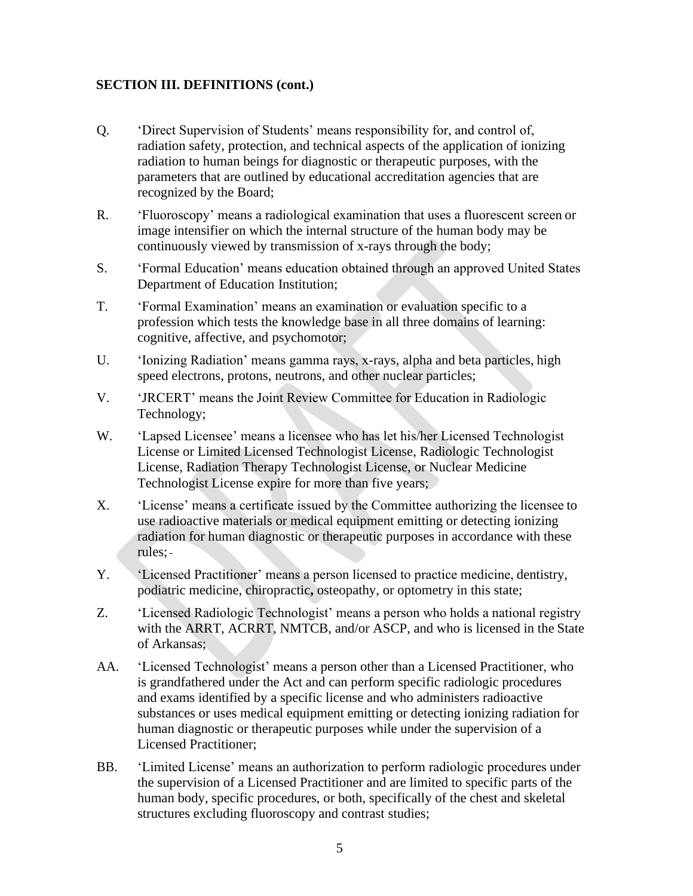- Q. 'Direct Supervision of Students' means responsibility for, and control of, radiation safety, protection, and technical aspects of the application of ionizing radiation to human beings for diagnostic or therapeutic purposes, with the parameters that are outlined by educational accreditation agencies that are recognized by the Board;
- R. 'Fluoroscopy' means a radiological examination that uses a fluorescent screen or image intensifier on which the internal structure of the human body may be continuously viewed by transmission of x-rays through the body;
- S. 'Formal Education' means education obtained through an approved United States Department of Education Institution;
- T. 'Formal Examination' means an examination or evaluation specific to a profession which tests the knowledge base in all three domains of learning: cognitive, affective, and psychomotor;
- U. 'Ionizing Radiation' means gamma rays, x-rays, alpha and beta particles, high speed electrons, protons, neutrons, and other nuclear particles;
- V. 'JRCERT' means the Joint Review Committee for Education in Radiologic Technology;
- W. 'Lapsed Licensee' means a licensee who has let his/her Licensed Technologist License or Limited Licensed Technologist License, Radiologic Technologist License, Radiation Therapy Technologist License, or Nuclear Medicine Technologist License expire for more than five years;
- X. 'License' means a certificate issued by the Committee authorizing the licensee to use radioactive materials or medical equipment emitting or detecting ionizing radiation for human diagnostic or therapeutic purposes in accordance with these rules;
- Y. 'Licensed Practitioner' means a person licensed to practice medicine, dentistry, podiatric medicine, chiropractic**,** osteopathy, or optometry in this state;
- Z. 'Licensed Radiologic Technologist' means a person who holds a national registry with the ARRT, ACRRT, NMTCB, and/or ASCP, and who is licensed in the State of Arkansas;
- AA. 'Licensed Technologist' means a person other than a Licensed Practitioner, who is grandfathered under the Act and can perform specific radiologic procedures and exams identified by a specific license and who administers radioactive substances or uses medical equipment emitting or detecting ionizing radiation for human diagnostic or therapeutic purposes while under the supervision of a Licensed Practitioner;
- BB. 'Limited License' means an authorization to perform radiologic procedures under the supervision of a Licensed Practitioner and are limited to specific parts of the human body, specific procedures, or both, specifically of the chest and skeletal structures excluding fluoroscopy and contrast studies;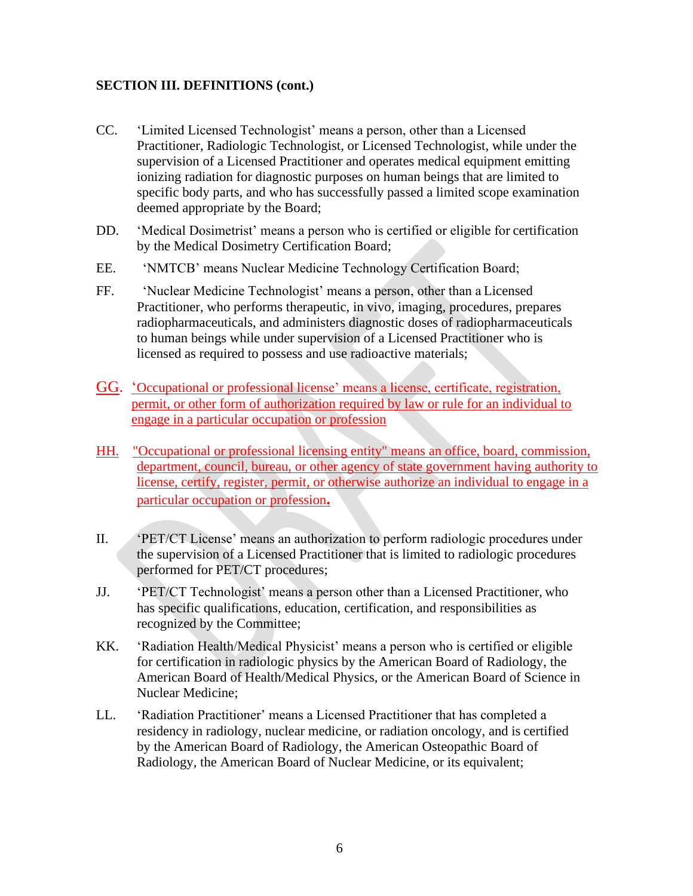- CC. 'Limited Licensed Technologist' means a person, other than a Licensed Practitioner, Radiologic Technologist, or Licensed Technologist, while under the supervision of a Licensed Practitioner and operates medical equipment emitting ionizing radiation for diagnostic purposes on human beings that are limited to specific body parts, and who has successfully passed a limited scope examination deemed appropriate by the Board;
- DD. 'Medical Dosimetrist' means a person who is certified or eligible for certification by the Medical Dosimetry Certification Board;
- EE. 'NMTCB' means Nuclear Medicine Technology Certification Board;
- FF. 'Nuclear Medicine Technologist' means a person, other than a Licensed Practitioner, who performs therapeutic, in vivo, imaging, procedures, prepares radiopharmaceuticals, and administers diagnostic doses of radiopharmaceuticals to human beings while under supervision of a Licensed Practitioner who is licensed as required to possess and use radioactive materials;
- GG. 'Occupational or professional license' means a license, certificate, registration, permit, or other form of authorization required by law or rule for an individual to engage in a particular occupation or profession
- HH. "Occupational or professional licensing entity" means an office, board, commission, department, council, bureau, or other agency of state government having authority to license, certify, register, permit, or otherwise authorize an individual to engage in a particular occupation or profession**.**
- II. 'PET/CT License' means an authorization to perform radiologic procedures under the supervision of a Licensed Practitioner that is limited to radiologic procedures performed for PET/CT procedures;
- JJ. 'PET/CT Technologist' means a person other than a Licensed Practitioner, who has specific qualifications, education, certification, and responsibilities as recognized by the Committee;
- KK. 'Radiation Health/Medical Physicist' means a person who is certified or eligible for certification in radiologic physics by the American Board of Radiology, the American Board of Health/Medical Physics, or the American Board of Science in Nuclear Medicine;
- LL. 'Radiation Practitioner' means a Licensed Practitioner that has completed a residency in radiology, nuclear medicine, or radiation oncology, and is certified by the American Board of Radiology, the American Osteopathic Board of Radiology, the American Board of Nuclear Medicine, or its equivalent;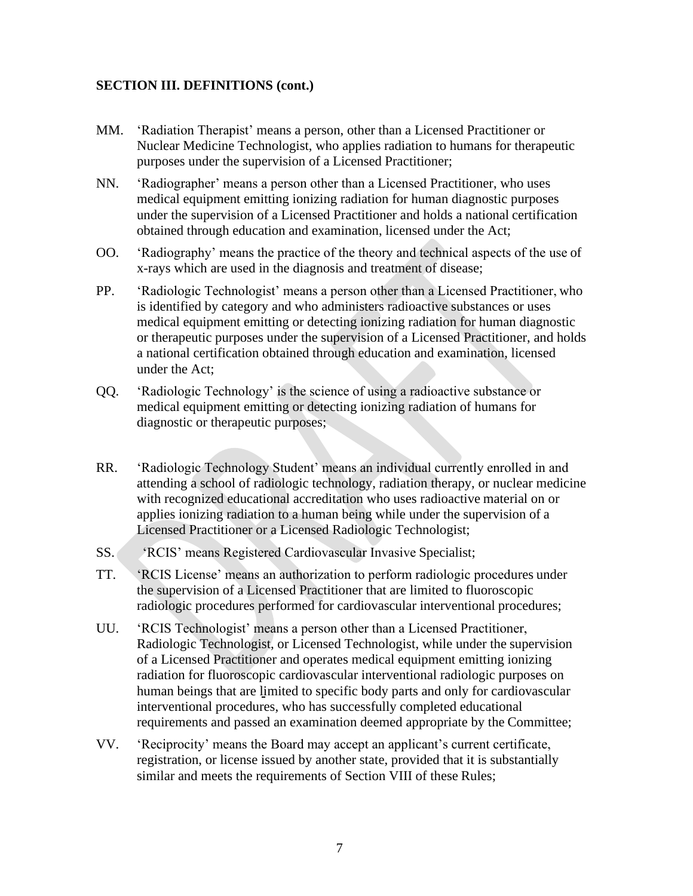- MM. 'Radiation Therapist' means a person, other than a Licensed Practitioner or Nuclear Medicine Technologist, who applies radiation to humans for therapeutic purposes under the supervision of a Licensed Practitioner;
- NN. 'Radiographer' means a person other than a Licensed Practitioner, who uses medical equipment emitting ionizing radiation for human diagnostic purposes under the supervision of a Licensed Practitioner and holds a national certification obtained through education and examination, licensed under the Act;
- OO. 'Radiography' means the practice of the theory and technical aspects of the use of x-rays which are used in the diagnosis and treatment of disease;
- PP. 'Radiologic Technologist' means a person other than a Licensed Practitioner, who is identified by category and who administers radioactive substances or uses medical equipment emitting or detecting ionizing radiation for human diagnostic or therapeutic purposes under the supervision of a Licensed Practitioner, and holds a national certification obtained through education and examination, licensed under the Act;
- QQ. 'Radiologic Technology' is the science of using a radioactive substance or medical equipment emitting or detecting ionizing radiation of humans for diagnostic or therapeutic purposes;
- RR. 'Radiologic Technology Student' means an individual currently enrolled in and attending a school of radiologic technology, radiation therapy, or nuclear medicine with recognized educational accreditation who uses radioactive material on or applies ionizing radiation to a human being while under the supervision of a Licensed Practitioner or a Licensed Radiologic Technologist;
- SS. 'RCIS' means Registered Cardiovascular Invasive Specialist;
- TT. 'RCIS License' means an authorization to perform radiologic procedures under the supervision of a Licensed Practitioner that are limited to fluoroscopic radiologic procedures performed for cardiovascular interventional procedures;
- UU. 'RCIS Technologist' means a person other than a Licensed Practitioner, Radiologic Technologist, or Licensed Technologist, while under the supervision of a Licensed Practitioner and operates medical equipment emitting ionizing radiation for fluoroscopic cardiovascular interventional radiologic purposes on human beings that are limited to specific body parts and only for cardiovascular interventional procedures, who has successfully completed educational requirements and passed an examination deemed appropriate by the Committee;
- VV. 'Reciprocity' means the Board may accept an applicant's current certificate, registration, or license issued by another state, provided that it is substantially similar and meets the requirements of Section VIII of these Rules;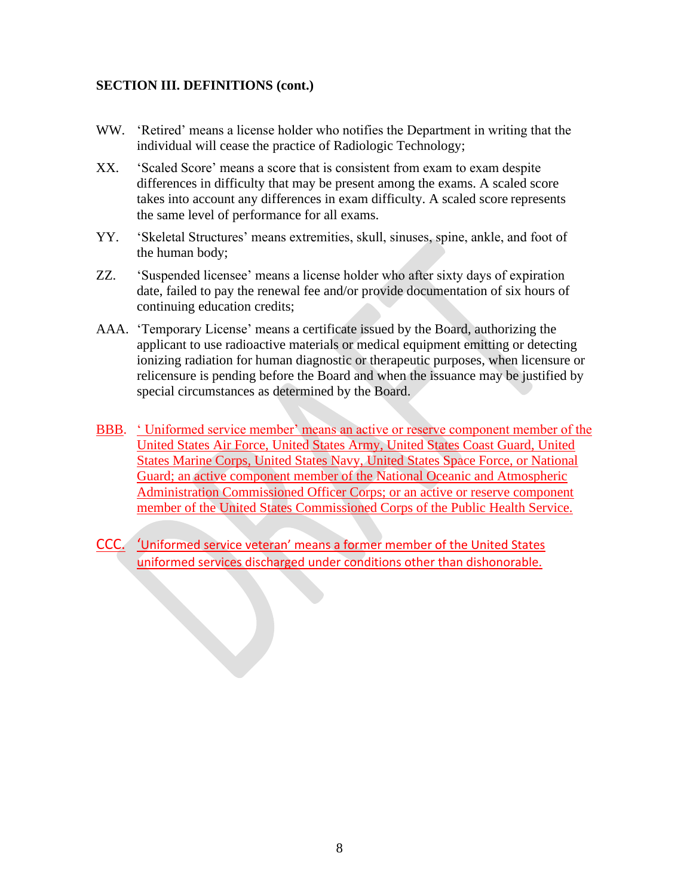- WW. 'Retired' means a license holder who notifies the Department in writing that the individual will cease the practice of Radiologic Technology;
- XX. 'Scaled Score' means a score that is consistent from exam to exam despite differences in difficulty that may be present among the exams. A scaled score takes into account any differences in exam difficulty. A scaled score represents the same level of performance for all exams.
- YY. 'Skeletal Structures' means extremities, skull, sinuses, spine, ankle, and foot of the human body;
- ZZ. 'Suspended licensee' means a license holder who after sixty days of expiration date, failed to pay the renewal fee and/or provide documentation of six hours of continuing education credits;
- AAA. 'Temporary License' means a certificate issued by the Board, authorizing the applicant to use radioactive materials or medical equipment emitting or detecting ionizing radiation for human diagnostic or therapeutic purposes, when licensure or relicensure is pending before the Board and when the issuance may be justified by special circumstances as determined by the Board.
- BBB. ' Uniformed service member' means an active or reserve component member of the United States Air Force, United States Army, United States Coast Guard, United States Marine Corps, United States Navy, United States Space Force, or National Guard; an active component member of the National Oceanic and Atmospheric Administration Commissioned Officer Corps; or an active or reserve component member of the United States Commissioned Corps of the Public Health Service.
- CCC. 'Uniformed service veteran' means a former member of the United States uniformed services discharged under conditions other than dishonorable.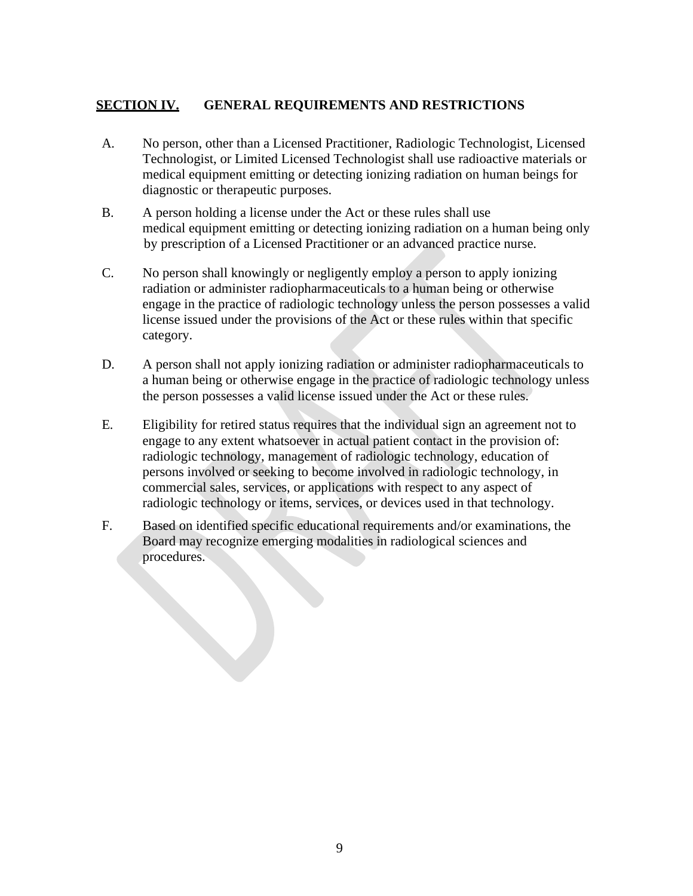#### **SECTION IV. GENERAL REQUIREMENTS AND RESTRICTIONS**

- A. No person, other than a Licensed Practitioner, Radiologic Technologist, Licensed Technologist, or Limited Licensed Technologist shall use radioactive materials or medical equipment emitting or detecting ionizing radiation on human beings for diagnostic or therapeutic purposes.
- B. A person holding a license under the Act or these rules shall use medical equipment emitting or detecting ionizing radiation on a human being only by prescription of a Licensed Practitioner or an advanced practice nurse.
- C. No person shall knowingly or negligently employ a person to apply ionizing radiation or administer radiopharmaceuticals to a human being or otherwise engage in the practice of radiologic technology unless the person possesses a valid license issued under the provisions of the Act or these rules within that specific category.
- D. A person shall not apply ionizing radiation or administer radiopharmaceuticals to a human being or otherwise engage in the practice of radiologic technology unless the person possesses a valid license issued under the Act or these rules.
- E. Eligibility for retired status requires that the individual sign an agreement not to engage to any extent whatsoever in actual patient contact in the provision of: radiologic technology, management of radiologic technology, education of persons involved or seeking to become involved in radiologic technology, in commercial sales, services, or applications with respect to any aspect of radiologic technology or items, services, or devices used in that technology.
- F. Based on identified specific educational requirements and/or examinations, the Board may recognize emerging modalities in radiological sciences and procedures.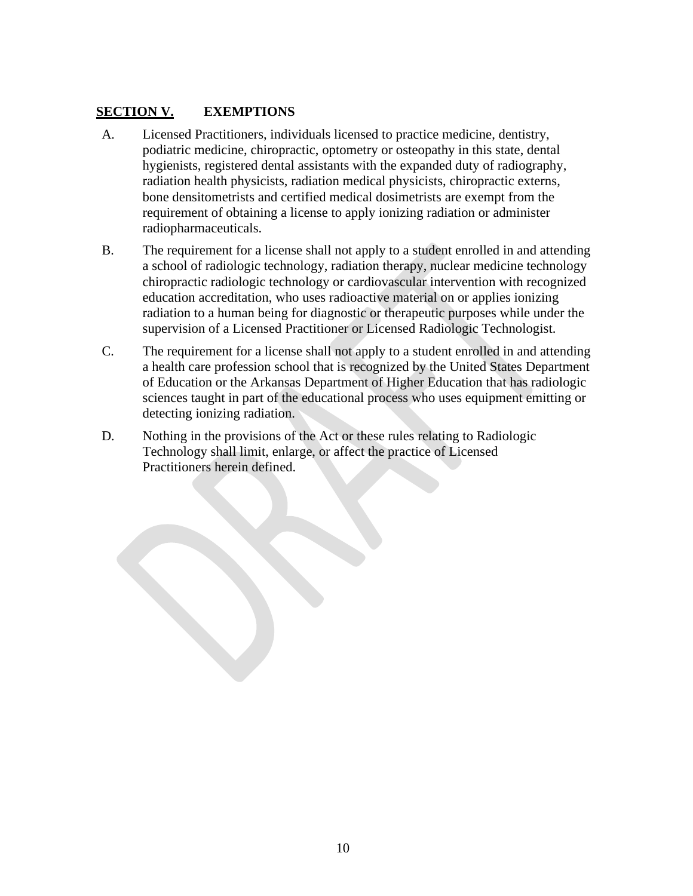#### **SECTION V. EXEMPTIONS**

- A. Licensed Practitioners, individuals licensed to practice medicine, dentistry, podiatric medicine, chiropractic, optometry or osteopathy in this state, dental hygienists, registered dental assistants with the expanded duty of radiography, radiation health physicists, radiation medical physicists, chiropractic externs, bone densitometrists and certified medical dosimetrists are exempt from the requirement of obtaining a license to apply ionizing radiation or administer radiopharmaceuticals.
- B. The requirement for a license shall not apply to a student enrolled in and attending a school of radiologic technology, radiation therapy, nuclear medicine technology chiropractic radiologic technology or cardiovascular intervention with recognized education accreditation, who uses radioactive material on or applies ionizing radiation to a human being for diagnostic or therapeutic purposes while under the supervision of a Licensed Practitioner or Licensed Radiologic Technologist.
- C. The requirement for a license shall not apply to a student enrolled in and attending a health care profession school that is recognized by the United States Department of Education or the Arkansas Department of Higher Education that has radiologic sciences taught in part of the educational process who uses equipment emitting or detecting ionizing radiation.
- D. Nothing in the provisions of the Act or these rules relating to Radiologic Technology shall limit, enlarge, or affect the practice of Licensed Practitioners herein defined.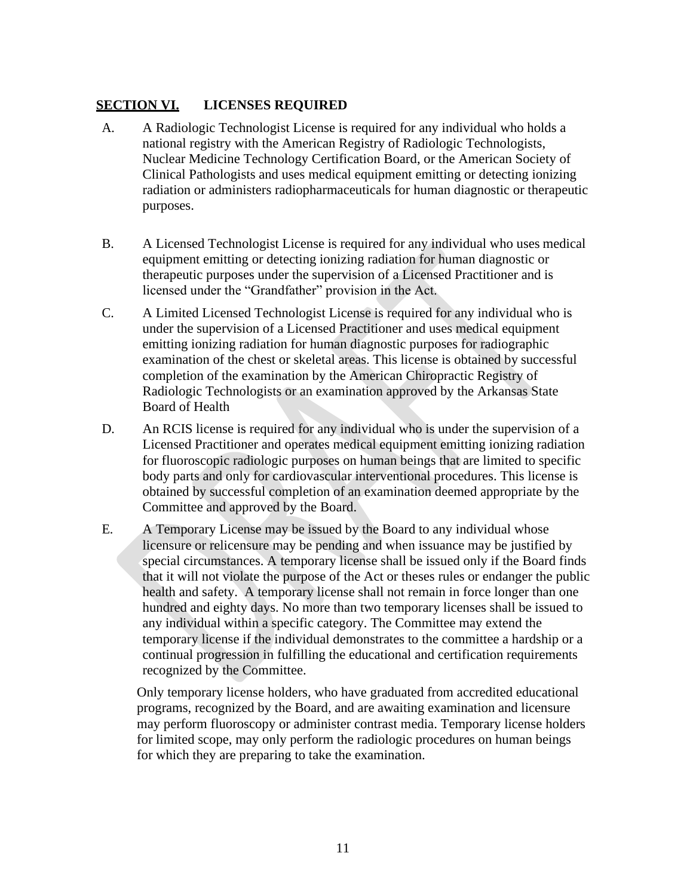#### **SECTION VI. LICENSES REQUIRED**

- A. A Radiologic Technologist License is required for any individual who holds a national registry with the American Registry of Radiologic Technologists, Nuclear Medicine Technology Certification Board, or the American Society of Clinical Pathologists and uses medical equipment emitting or detecting ionizing radiation or administers radiopharmaceuticals for human diagnostic or therapeutic purposes.
- B. A Licensed Technologist License is required for any individual who uses medical equipment emitting or detecting ionizing radiation for human diagnostic or therapeutic purposes under the supervision of a Licensed Practitioner and is licensed under the "Grandfather" provision in the Act.
- C. A Limited Licensed Technologist License is required for any individual who is under the supervision of a Licensed Practitioner and uses medical equipment emitting ionizing radiation for human diagnostic purposes for radiographic examination of the chest or skeletal areas. This license is obtained by successful completion of the examination by the American Chiropractic Registry of Radiologic Technologists or an examination approved by the Arkansas State Board of Health
- D. An RCIS license is required for any individual who is under the supervision of a Licensed Practitioner and operates medical equipment emitting ionizing radiation for fluoroscopic radiologic purposes on human beings that are limited to specific body parts and only for cardiovascular interventional procedures. This license is obtained by successful completion of an examination deemed appropriate by the Committee and approved by the Board.
- E. A Temporary License may be issued by the Board to any individual whose licensure or relicensure may be pending and when issuance may be justified by special circumstances. A temporary license shall be issued only if the Board finds that it will not violate the purpose of the Act or theses rules or endanger the public health and safety. A temporary license shall not remain in force longer than one hundred and eighty days. No more than two temporary licenses shall be issued to any individual within a specific category. The Committee may extend the temporary license if the individual demonstrates to the committee a hardship or a continual progression in fulfilling the educational and certification requirements recognized by the Committee.

Only temporary license holders, who have graduated from accredited educational programs, recognized by the Board, and are awaiting examination and licensure may perform fluoroscopy or administer contrast media. Temporary license holders for limited scope, may only perform the radiologic procedures on human beings for which they are preparing to take the examination.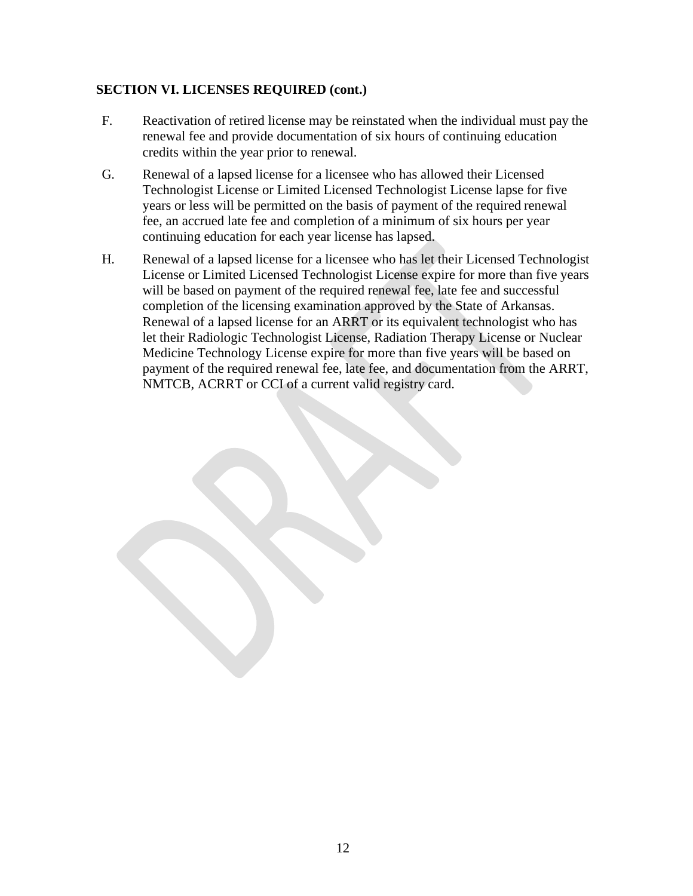#### **SECTION VI. LICENSES REQUIRED (cont.)**

- F. Reactivation of retired license may be reinstated when the individual must pay the renewal fee and provide documentation of six hours of continuing education credits within the year prior to renewal.
- G. Renewal of a lapsed license for a licensee who has allowed their Licensed Technologist License or Limited Licensed Technologist License lapse for five years or less will be permitted on the basis of payment of the required renewal fee, an accrued late fee and completion of a minimum of six hours per year continuing education for each year license has lapsed.
- H. Renewal of a lapsed license for a licensee who has let their Licensed Technologist License or Limited Licensed Technologist License expire for more than five years will be based on payment of the required renewal fee, late fee and successful completion of the licensing examination approved by the State of Arkansas. Renewal of a lapsed license for an ARRT or its equivalent technologist who has let their Radiologic Technologist License, Radiation Therapy License or Nuclear Medicine Technology License expire for more than five years will be based on payment of the required renewal fee, late fee, and documentation from the ARRT, NMTCB, ACRRT or CCI of a current valid registry card.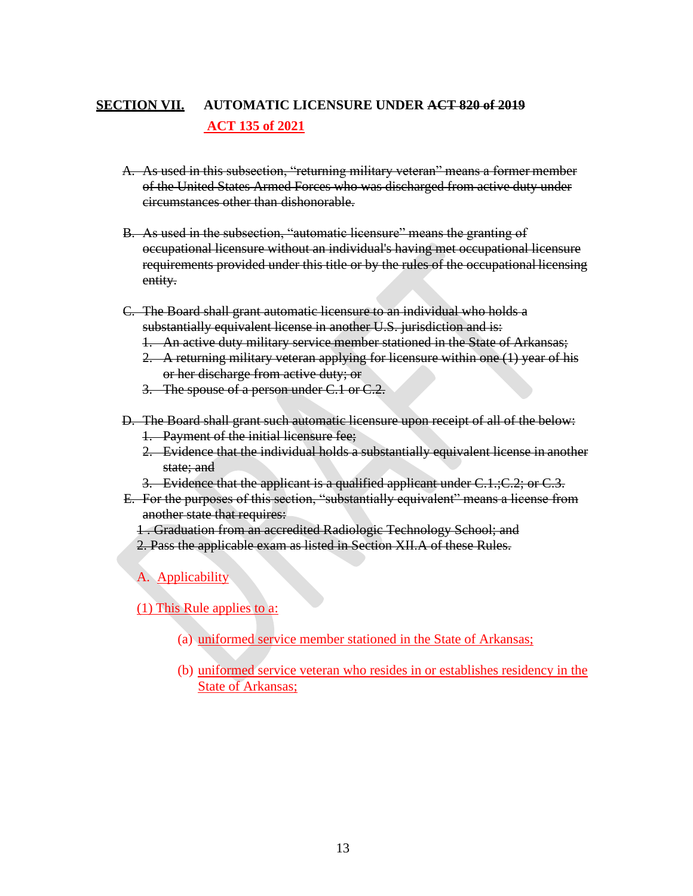## **SECTION VII. AUTOMATIC LICENSURE UNDER ACT 820 of 2019 ACT 135 of 2021**

- A. As used in this subsection, "returning military veteran" means a former member of the United States Armed Forces who was discharged from active duty under circumstances other than dishonorable.
- B. As used in the subsection, "automatic licensure" means the granting of occupational licensure without an individual's having met occupational licensure requirements provided under this title or by the rules of the occupational licensing entity.
- C. The Board shall grant automatic licensure to an individual who holds a substantially equivalent license in another U.S. jurisdiction and is:
	- 1. An active duty military service member stationed in the State of Arkansas;
	- 2. A returning military veteran applying for licensure within one (1) year of his or her discharge from active duty; or
	- 3. The spouse of a person under C.1 or C.2.
- D. The Board shall grant such automatic licensure upon receipt of all of the below:
	- 1. Payment of the initial licensure fee;
	- 2. Evidence that the individual holds a substantially equivalent license in another state; and
	- 3. Evidence that the applicant is a qualified applicant under  $C.1$ ;  $C.2$ ; or  $C.3$ .
- E. For the purposes of this section, "substantially equivalent" means a license from another state that requires:
	- 1 . Graduation from an accredited Radiologic Technology School; and
	- 2. Pass the applicable exam as listed in Section XII.A of these Rules.

A. Applicability

(1) This Rule applies to a:

- (a) uniformed service member stationed in the State of Arkansas;
- (b) uniformed service veteran who resides in or establishes residency in the State of Arkansas;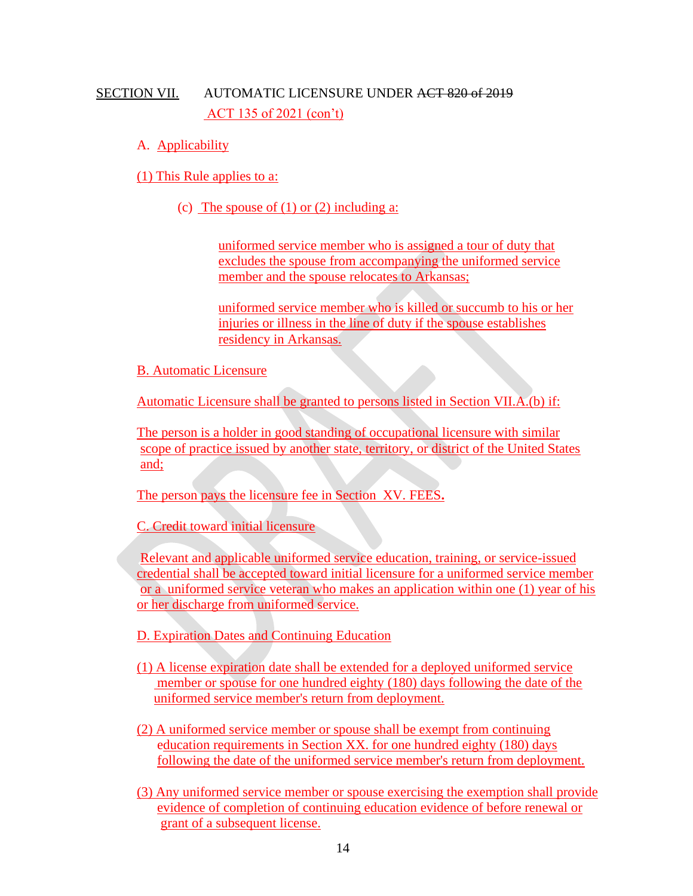## SECTION VII. AUTOMATIC LICENSURE UNDER ACT 820 of 2019 ACT 135 of 2021 (con't)

A. Applicability

(1) This Rule applies to a:

(c) The spouse of  $(1)$  or  $(2)$  including a:

uniformed service member who is assigned a tour of duty that excludes the spouse from accompanying the uniformed service member and the spouse relocates to Arkansas;

uniformed service member who is killed or succumb to his or her injuries or illness in the line of duty if the spouse establishes residency in Arkansas.

B. Automatic Licensure

Automatic Licensure shall be granted to persons listed in Section VII.A.(b) if:

 The person is a holder in good standing of occupational licensure with similar scope of practice issued by another state, territory, or district of the United States and;

The person pays the licensure fee in Section XV. FEES**.**

C. Credit toward initial licensure

 Relevant and applicable uniformed service education, training, or service-issued credential shall be accepted toward initial licensure for a uniformed service member or a uniformed service veteran who makes an application within one (1) year of his or her discharge from uniformed service.

D. Expiration Dates and Continuing Education

- (1) A license expiration date shall be extended for a deployed uniformed service member or spouse for one hundred eighty (180) days following the date of the uniformed service member's return from deployment.
- (2) A uniformed service member or spouse shall be exempt from continuing education requirements in Section XX. for one hundred eighty (180) days following the date of the uniformed service member's return from deployment.
- (3) Any uniformed service member or spouse exercising the exemption shall provide evidence of completion of continuing education evidence of before renewal or grant of a subsequent license.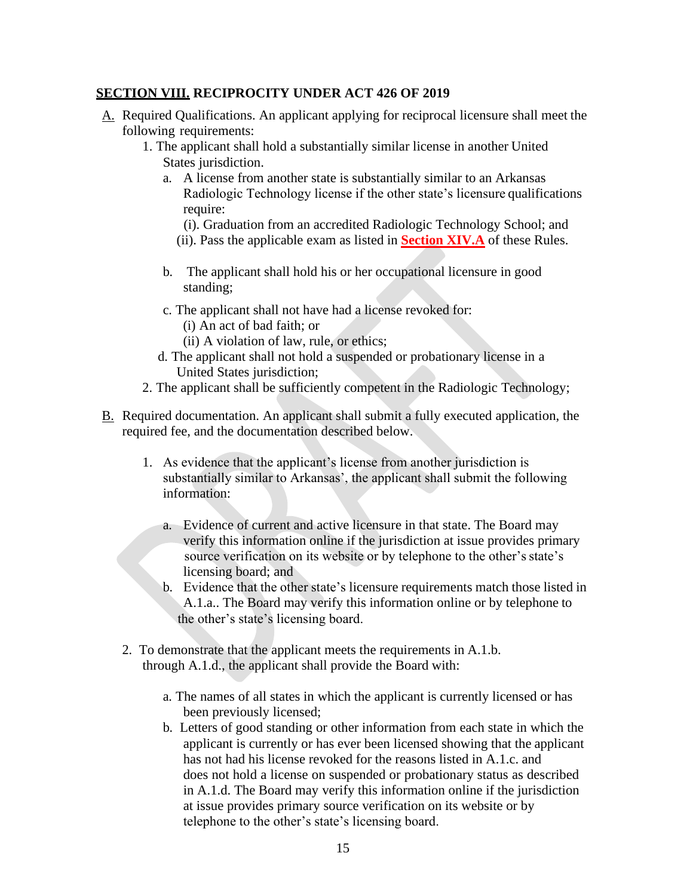#### **SECTION VIII. RECIPROCITY UNDER ACT 426 OF 2019**

- A. Required Qualifications. An applicant applying for reciprocal licensure shall meet the following requirements:
	- 1. The applicant shall hold a substantially similar license in another United States jurisdiction.
		- a. A license from another state is substantially similar to an Arkansas Radiologic Technology license if the other state's licensure qualifications require:
			- (i). Graduation from an accredited Radiologic Technology School; and
			- (ii). Pass the applicable exam as listed in **Section XIV.A** of these Rules.
		- b. The applicant shall hold his or her occupational licensure in good standing;
		- c. The applicant shall not have had a license revoked for:
			- (i) An act of bad faith; or
			- (ii) A violation of law, rule, or ethics;
		- d. The applicant shall not hold a suspended or probationary license in a United States jurisdiction;
	- 2. The applicant shall be sufficiently competent in the Radiologic Technology;
- B. Required documentation. An applicant shall submit a fully executed application, the required fee, and the documentation described below.
	- 1. As evidence that the applicant's license from another jurisdiction is substantially similar to Arkansas', the applicant shall submit the following information:
		- a. Evidence of current and active licensure in that state. The Board may verify this information online if the jurisdiction at issue provides primary source verification on its website or by telephone to the other's state's licensing board; and
		- b. Evidence that the other state's licensure requirements match those listed in A.1.a.. The Board may verify this information online or by telephone to the other's state's licensing board.
	- 2. To demonstrate that the applicant meets the requirements in A.1.b. through A.1.d., the applicant shall provide the Board with:
		- a. The names of all states in which the applicant is currently licensed or has been previously licensed;
		- b. Letters of good standing or other information from each state in which the applicant is currently or has ever been licensed showing that the applicant has not had his license revoked for the reasons listed in A.1.c. and does not hold a license on suspended or probationary status as described in A.1.d. The Board may verify this information online if the jurisdiction at issue provides primary source verification on its website or by telephone to the other's state's licensing board.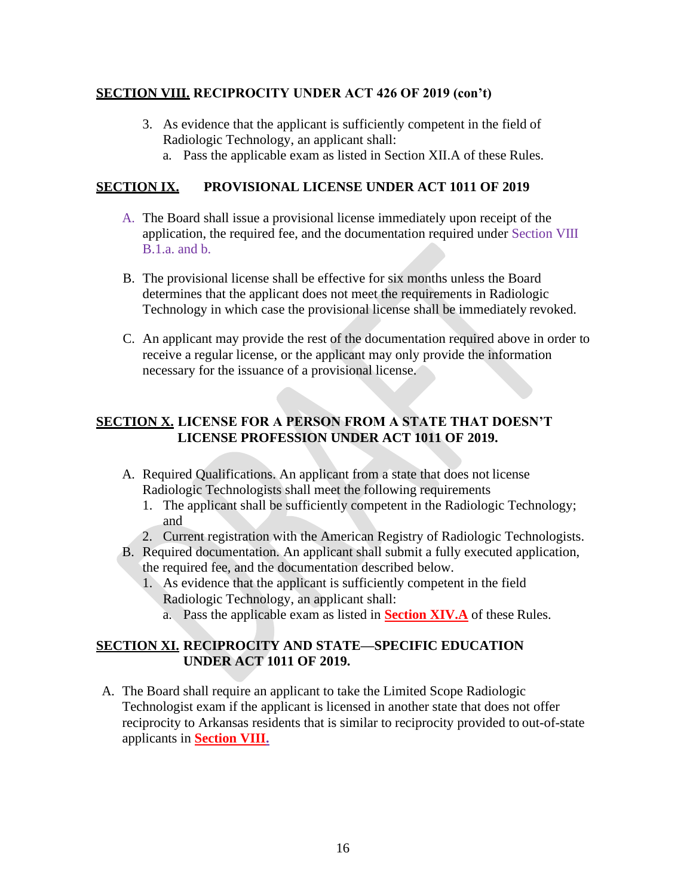#### **SECTION VIII. RECIPROCITY UNDER ACT 426 OF 2019 (con't)**

- 3. As evidence that the applicant is sufficiently competent in the field of Radiologic Technology, an applicant shall:
	- a. Pass the applicable exam as listed in Section XII.A of these Rules.

#### **SECTION IX. PROVISIONAL LICENSE UNDER ACT 1011 OF 2019**

- A. The Board shall issue a provisional license immediately upon receipt of the application, the required fee, and the documentation required under Section VIII B.1.a. and b.
- B. The provisional license shall be effective for six months unless the Board determines that the applicant does not meet the requirements in Radiologic Technology in which case the provisional license shall be immediately revoked.
- C. An applicant may provide the rest of the documentation required above in order to receive a regular license, or the applicant may only provide the information necessary for the issuance of a provisional license.

#### **SECTION X. LICENSE FOR A PERSON FROM A STATE THAT DOESN'T LICENSE PROFESSION UNDER ACT 1011 OF 2019.**

- A. Required Qualifications. An applicant from a state that does not license Radiologic Technologists shall meet the following requirements
	- 1. The applicant shall be sufficiently competent in the Radiologic Technology; and
	- 2. Current registration with the American Registry of Radiologic Technologists.
- B. Required documentation. An applicant shall submit a fully executed application, the required fee, and the documentation described below.
	- 1. As evidence that the applicant is sufficiently competent in the field Radiologic Technology, an applicant shall:
		- a. Pass the applicable exam as listed in **Section XIV.A** of these Rules.

#### **SECTION XI. RECIPROCITY AND STATE—SPECIFIC EDUCATION UNDER ACT 1011 OF 2019.**

A. The Board shall require an applicant to take the Limited Scope Radiologic Technologist exam if the applicant is licensed in another state that does not offer reciprocity to Arkansas residents that is similar to reciprocity provided to out-of-state applicants in **Section VIII.**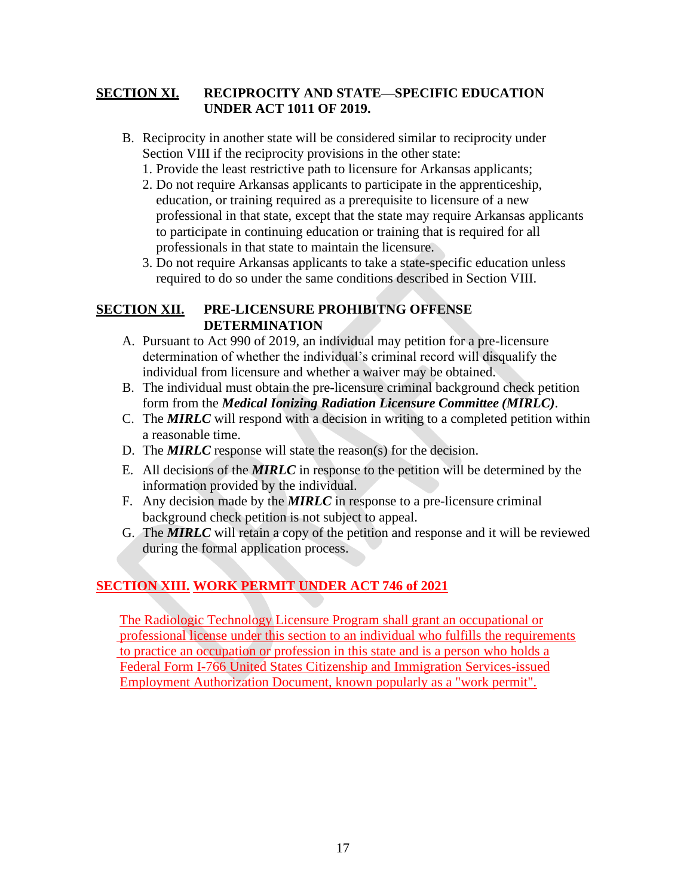#### **SECTION XI. RECIPROCITY AND STATE—SPECIFIC EDUCATION UNDER ACT 1011 OF 2019.**

- B. Reciprocity in another state will be considered similar to reciprocity under Section VIII if the reciprocity provisions in the other state:
	- 1. Provide the least restrictive path to licensure for Arkansas applicants;
	- 2. Do not require Arkansas applicants to participate in the apprenticeship, education, or training required as a prerequisite to licensure of a new professional in that state, except that the state may require Arkansas applicants to participate in continuing education or training that is required for all professionals in that state to maintain the licensure.
	- 3. Do not require Arkansas applicants to take a state-specific education unless required to do so under the same conditions described in Section VIII.

#### **SECTION XII. PRE-LICENSURE PROHIBITNG OFFENSE DETERMINATION**

- A. Pursuant to Act 990 of 2019, an individual may petition for a pre-licensure determination of whether the individual's criminal record will disqualify the individual from licensure and whether a waiver may be obtained.
- B. The individual must obtain the pre-licensure criminal background check petition form from the *Medical Ionizing Radiation Licensure Committee (MIRLC)*.
- C. The *MIRLC* will respond with a decision in writing to a completed petition within a reasonable time.
- D. The *MIRLC* response will state the reason(s) for the decision.
- E. All decisions of the *MIRLC* in response to the petition will be determined by the information provided by the individual.
- F. Any decision made by the *MIRLC* in response to a pre-licensure criminal background check petition is not subject to appeal.
- G. The *MIRLC* will retain a copy of the petition and response and it will be reviewed during the formal application process.

## **SECTION XIII. WORK PERMIT UNDER ACT 746 of 2021**

 The Radiologic Technology Licensure Program shall grant an occupational or professional license under this section to an individual who fulfills the requirements to practice an occupation or profession in this state and is a person who holds a Federal Form I-766 United States Citizenship and Immigration Services-issued Employment Authorization Document, known popularly as a "work permit".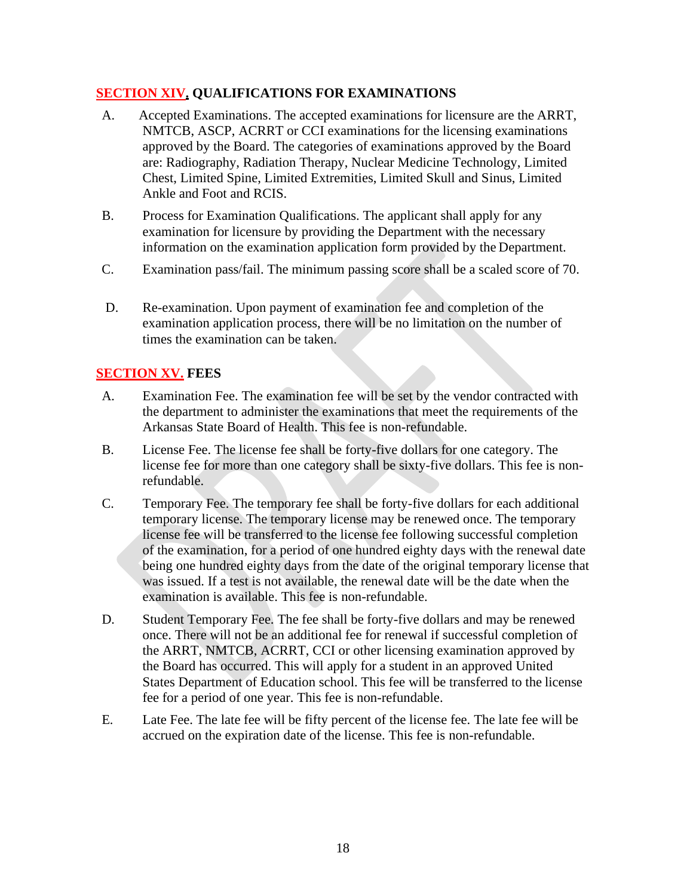#### **SECTION XIV. QUALIFICATIONS FOR EXAMINATIONS**

- A. Accepted Examinations. The accepted examinations for licensure are the ARRT, NMTCB, ASCP, ACRRT or CCI examinations for the licensing examinations approved by the Board. The categories of examinations approved by the Board are: Radiography, Radiation Therapy, Nuclear Medicine Technology, Limited Chest, Limited Spine, Limited Extremities, Limited Skull and Sinus, Limited Ankle and Foot and RCIS.
- B. Process for Examination Qualifications. The applicant shall apply for any examination for licensure by providing the Department with the necessary information on the examination application form provided by the Department.
- C. Examination pass/fail. The minimum passing score shall be a scaled score of 70.
- D. Re-examination. Upon payment of examination fee and completion of the examination application process, there will be no limitation on the number of times the examination can be taken.

#### **SECTION XV. FEES**

- A. Examination Fee. The examination fee will be set by the vendor contracted with the department to administer the examinations that meet the requirements of the Arkansas State Board of Health. This fee is non-refundable.
- B. License Fee. The license fee shall be forty-five dollars for one category. The license fee for more than one category shall be sixty-five dollars. This fee is nonrefundable.
- C. Temporary Fee. The temporary fee shall be forty-five dollars for each additional temporary license. The temporary license may be renewed once. The temporary license fee will be transferred to the license fee following successful completion of the examination, for a period of one hundred eighty days with the renewal date being one hundred eighty days from the date of the original temporary license that was issued. If a test is not available, the renewal date will be the date when the examination is available. This fee is non-refundable.
- D. Student Temporary Fee. The fee shall be forty-five dollars and may be renewed once. There will not be an additional fee for renewal if successful completion of the ARRT, NMTCB, ACRRT, CCI or other licensing examination approved by the Board has occurred. This will apply for a student in an approved United States Department of Education school. This fee will be transferred to the license fee for a period of one year. This fee is non-refundable.
- E. Late Fee. The late fee will be fifty percent of the license fee. The late fee will be accrued on the expiration date of the license. This fee is non-refundable.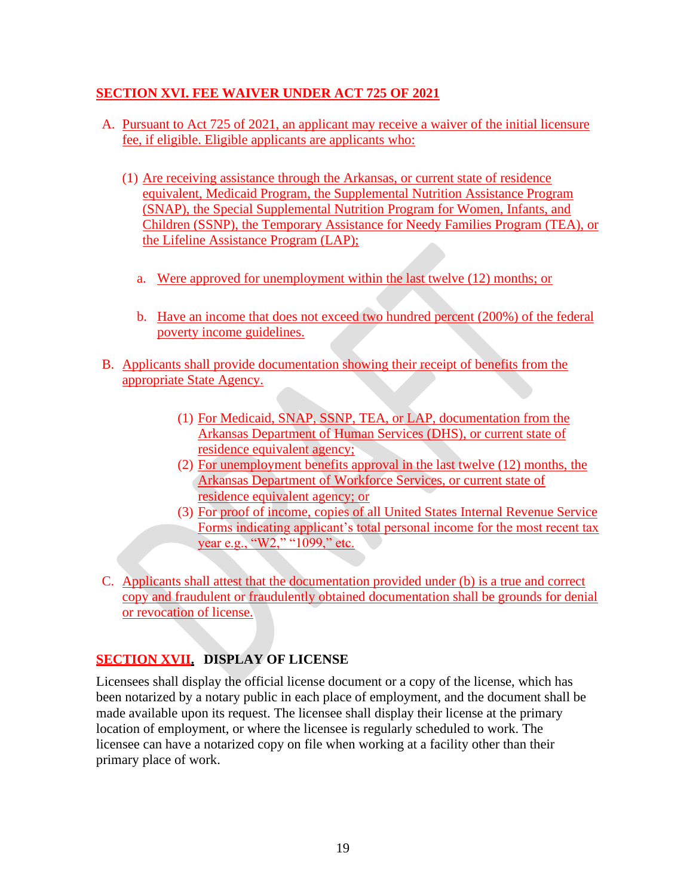#### **SECTION XVI. FEE WAIVER UNDER ACT 725 OF 2021**

- A. Pursuant to Act 725 of 2021, an applicant may receive a waiver of the initial licensure fee, if eligible. Eligible applicants are applicants who:
	- (1) Are receiving assistance through the Arkansas, or current state of residence equivalent, Medicaid Program, the Supplemental Nutrition Assistance Program (SNAP), the Special Supplemental Nutrition Program for Women, Infants, and Children (SSNP), the Temporary Assistance for Needy Families Program (TEA), or the Lifeline Assistance Program (LAP);
		- a. Were approved for unemployment within the last twelve (12) months; or
		- b. Have an income that does not exceed two hundred percent (200%) of the federal poverty income guidelines.
- B. Applicants shall provide documentation showing their receipt of benefits from the appropriate State Agency.
	- (1) For Medicaid, SNAP, SSNP, TEA, or LAP, documentation from the Arkansas Department of Human Services (DHS), or current state of residence equivalent agency;
	- (2) For unemployment benefits approval in the last twelve (12) months, the Arkansas Department of Workforce Services, or current state of residence equivalent agency; or
	- (3) For proof of income, copies of all United States Internal Revenue Service Forms indicating applicant's total personal income for the most recent tax year e.g., "W2," "1099," etc.
- C. Applicants shall attest that the documentation provided under (b) is a true and correct copy and fraudulent or fraudulently obtained documentation shall be grounds for denial or revocation of license.

## **SECTION XVII. DISPLAY OF LICENSE**

Licensees shall display the official license document or a copy of the license, which has been notarized by a notary public in each place of employment, and the document shall be made available upon its request. The licensee shall display their license at the primary location of employment, or where the licensee is regularly scheduled to work. The licensee can have a notarized copy on file when working at a facility other than their primary place of work.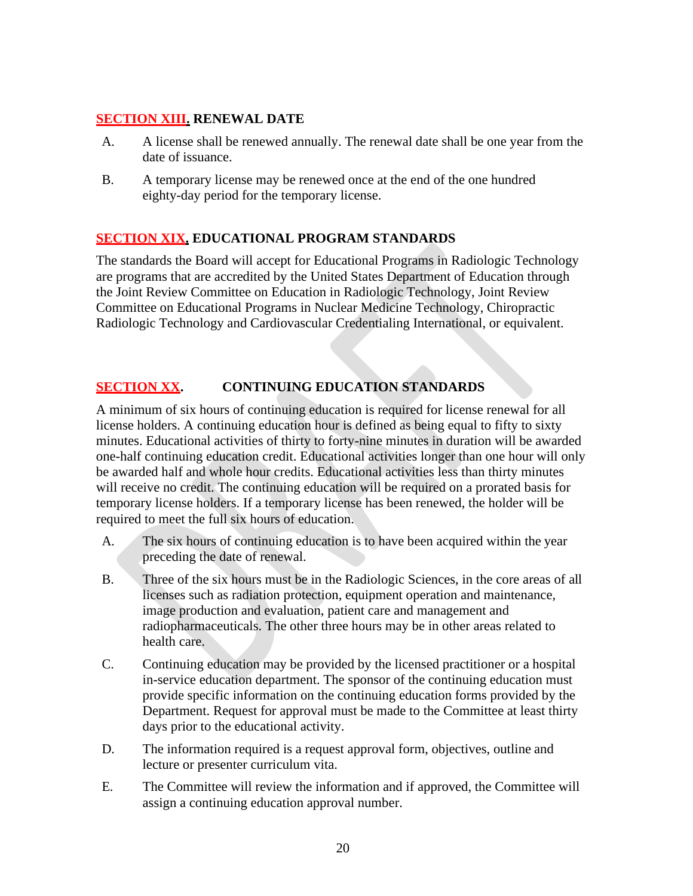#### **SECTION XIII. RENEWAL DATE**

- A. A license shall be renewed annually. The renewal date shall be one year from the date of issuance.
- B. A temporary license may be renewed once at the end of the one hundred eighty-day period for the temporary license.

#### **SECTION XIX. EDUCATIONAL PROGRAM STANDARDS**

The standards the Board will accept for Educational Programs in Radiologic Technology are programs that are accredited by the United States Department of Education through the Joint Review Committee on Education in Radiologic Technology, Joint Review Committee on Educational Programs in Nuclear Medicine Technology, Chiropractic Radiologic Technology and Cardiovascular Credentialing International, or equivalent.

#### **SECTION XX. CONTINUING EDUCATION STANDARDS**

A minimum of six hours of continuing education is required for license renewal for all license holders. A continuing education hour is defined as being equal to fifty to sixty minutes. Educational activities of thirty to forty-nine minutes in duration will be awarded one-half continuing education credit. Educational activities longer than one hour will only be awarded half and whole hour credits. Educational activities less than thirty minutes will receive no credit. The continuing education will be required on a prorated basis for temporary license holders. If a temporary license has been renewed, the holder will be required to meet the full six hours of education.

- A. The six hours of continuing education is to have been acquired within the year preceding the date of renewal.
- B. Three of the six hours must be in the Radiologic Sciences, in the core areas of all licenses such as radiation protection, equipment operation and maintenance, image production and evaluation, patient care and management and radiopharmaceuticals. The other three hours may be in other areas related to health care.
- C. Continuing education may be provided by the licensed practitioner or a hospital in-service education department. The sponsor of the continuing education must provide specific information on the continuing education forms provided by the Department. Request for approval must be made to the Committee at least thirty days prior to the educational activity.
- D. The information required is a request approval form, objectives, outline and lecture or presenter curriculum vita.
- E. The Committee will review the information and if approved, the Committee will assign a continuing education approval number.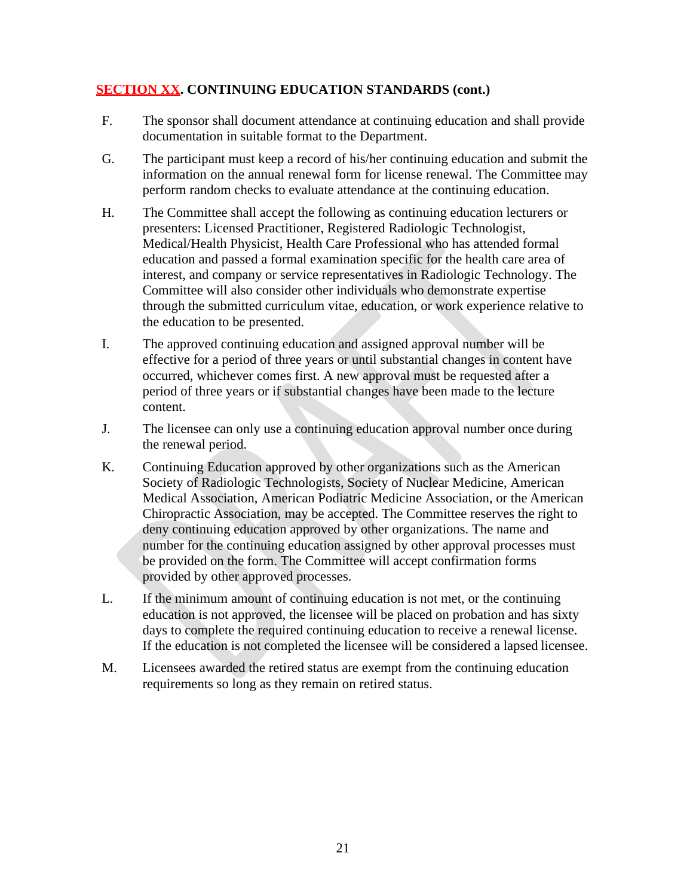#### **SECTION XX. CONTINUING EDUCATION STANDARDS (cont.)**

- F. The sponsor shall document attendance at continuing education and shall provide documentation in suitable format to the Department.
- G. The participant must keep a record of his/her continuing education and submit the information on the annual renewal form for license renewal. The Committee may perform random checks to evaluate attendance at the continuing education.
- H. The Committee shall accept the following as continuing education lecturers or presenters: Licensed Practitioner, Registered Radiologic Technologist, Medical/Health Physicist, Health Care Professional who has attended formal education and passed a formal examination specific for the health care area of interest, and company or service representatives in Radiologic Technology. The Committee will also consider other individuals who demonstrate expertise through the submitted curriculum vitae, education, or work experience relative to the education to be presented.
- I. The approved continuing education and assigned approval number will be effective for a period of three years or until substantial changes in content have occurred, whichever comes first. A new approval must be requested after a period of three years or if substantial changes have been made to the lecture content.
- J. The licensee can only use a continuing education approval number once during the renewal period.
- K. Continuing Education approved by other organizations such as the American Society of Radiologic Technologists, Society of Nuclear Medicine, American Medical Association, American Podiatric Medicine Association, or the American Chiropractic Association, may be accepted. The Committee reserves the right to deny continuing education approved by other organizations. The name and number for the continuing education assigned by other approval processes must be provided on the form. The Committee will accept confirmation forms provided by other approved processes.
- L. If the minimum amount of continuing education is not met, or the continuing education is not approved, the licensee will be placed on probation and has sixty days to complete the required continuing education to receive a renewal license. If the education is not completed the licensee will be considered a lapsed licensee.
- M. Licensees awarded the retired status are exempt from the continuing education requirements so long as they remain on retired status.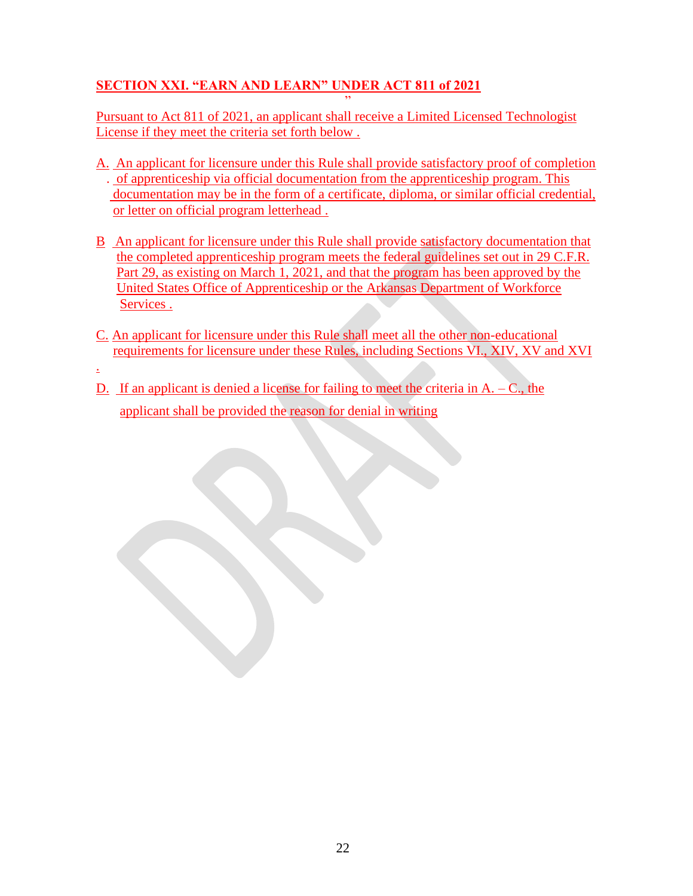### **SECTION XXI. "EARN AND LEARN" UNDER ACT 811 of 2021**

" Pursuant to Act 811 of 2021, an applicant shall receive a Limited Licensed Technologist License if they meet the criteria set forth below .

- A. An applicant for licensure under this Rule shall provide satisfactory proof of completion . of apprenticeship via official documentation from the apprenticeship program. This documentation may be in the form of a certificate, diploma, or similar official credential, or letter on official program letterhead .
- B An applicant for licensure under this Rule shall provide satisfactory documentation that the completed apprenticeship program meets the federal guidelines set out in 29 C.F.R. Part 29, as existing on March 1, 2021, and that the program has been approved by the United States Office of Apprenticeship or the Arkansas Department of Workforce Services .
- C. An applicant for licensure under this Rule shall meet all the other non-educational requirements for licensure under these Rules, including Sections VI., XIV, XV and XVI
- .
- D. If an applicant is denied a license for failing to meet the criteria in  $A C$ , the applicant shall be provided the reason for denial in writing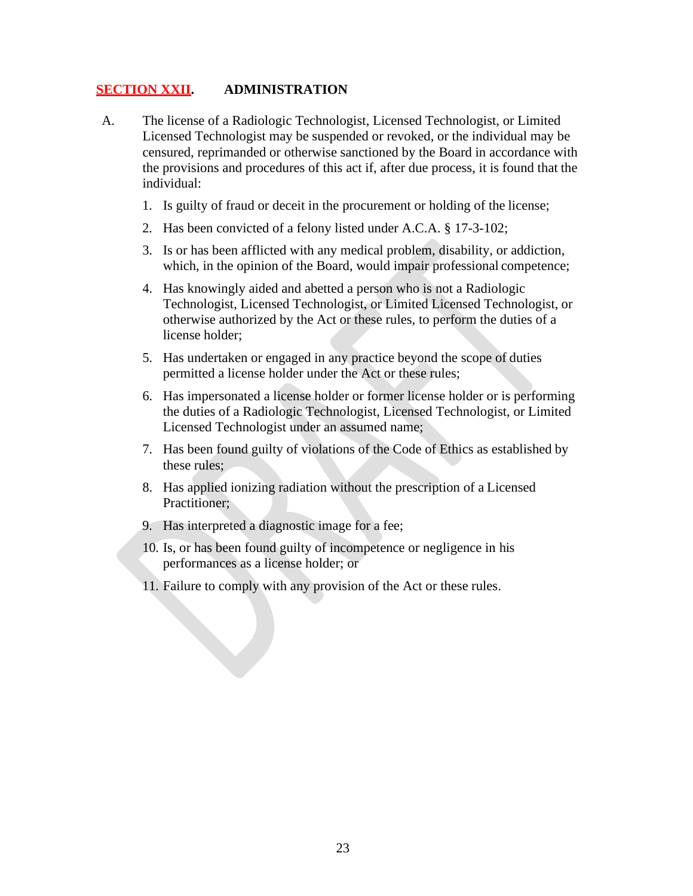#### **SECTION XXII. ADMINISTRATION**

- A. The license of a Radiologic Technologist, Licensed Technologist, or Limited Licensed Technologist may be suspended or revoked, or the individual may be censured, reprimanded or otherwise sanctioned by the Board in accordance with the provisions and procedures of this act if, after due process, it is found that the individual:
	- 1. Is guilty of fraud or deceit in the procurement or holding of the license;
	- 2. Has been convicted of a felony listed under A.C.A. § 17-3-102;
	- 3. Is or has been afflicted with any medical problem, disability, or addiction, which, in the opinion of the Board, would impair professional competence;
	- 4. Has knowingly aided and abetted a person who is not a Radiologic Technologist, Licensed Technologist, or Limited Licensed Technologist, or otherwise authorized by the Act or these rules, to perform the duties of a license holder;
	- 5. Has undertaken or engaged in any practice beyond the scope of duties permitted a license holder under the Act or these rules;
	- 6. Has impersonated a license holder or former license holder or is performing the duties of a Radiologic Technologist, Licensed Technologist, or Limited Licensed Technologist under an assumed name;
	- 7. Has been found guilty of violations of the Code of Ethics as established by these rules;
	- 8. Has applied ionizing radiation without the prescription of a Licensed Practitioner;
	- 9. Has interpreted a diagnostic image for a fee;
	- 10. Is, or has been found guilty of incompetence or negligence in his performances as a license holder; or
	- 11. Failure to comply with any provision of the Act or these rules.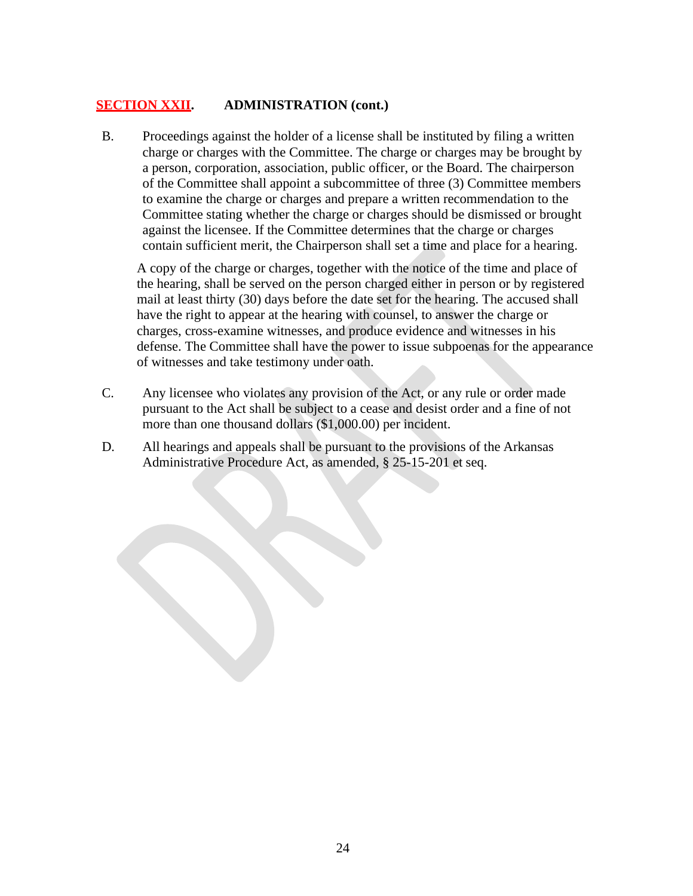#### **SECTION XXII. ADMINISTRATION (cont.)**

B. Proceedings against the holder of a license shall be instituted by filing a written charge or charges with the Committee. The charge or charges may be brought by a person, corporation, association, public officer, or the Board. The chairperson of the Committee shall appoint a subcommittee of three (3) Committee members to examine the charge or charges and prepare a written recommendation to the Committee stating whether the charge or charges should be dismissed or brought against the licensee. If the Committee determines that the charge or charges contain sufficient merit, the Chairperson shall set a time and place for a hearing.

A copy of the charge or charges, together with the notice of the time and place of the hearing, shall be served on the person charged either in person or by registered mail at least thirty (30) days before the date set for the hearing. The accused shall have the right to appear at the hearing with counsel, to answer the charge or charges, cross-examine witnesses, and produce evidence and witnesses in his defense. The Committee shall have the power to issue subpoenas for the appearance of witnesses and take testimony under oath.

- C. Any licensee who violates any provision of the Act, or any rule or order made pursuant to the Act shall be subject to a cease and desist order and a fine of not more than one thousand dollars (\$1,000.00) per incident.
- D. All hearings and appeals shall be pursuant to the provisions of the Arkansas Administrative Procedure Act, as amended, § 25-15-201 et seq.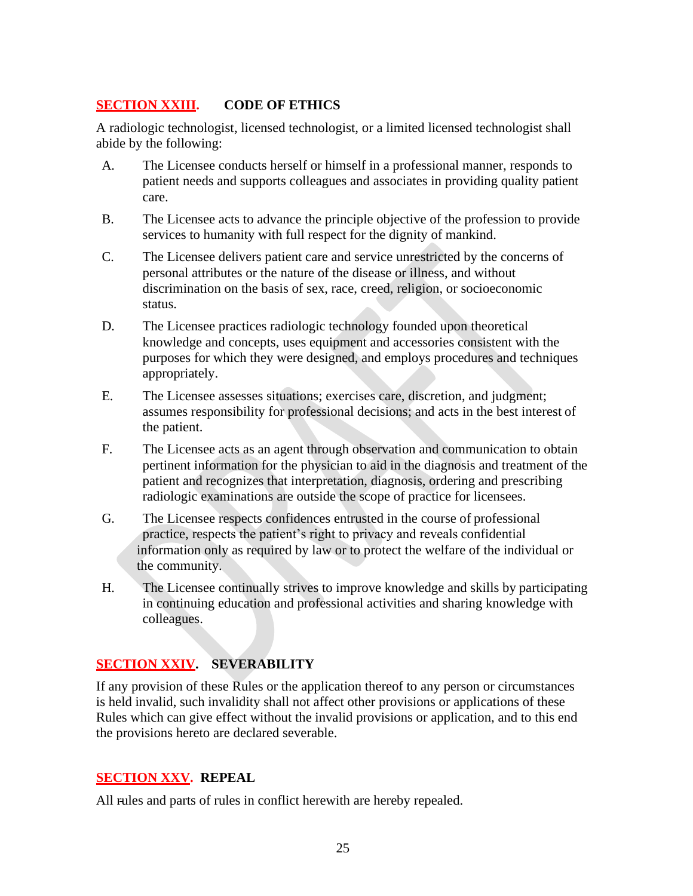#### **SECTION XXIII. CODE OF ETHICS**

A radiologic technologist, licensed technologist, or a limited licensed technologist shall abide by the following:

- A. The Licensee conducts herself or himself in a professional manner, responds to patient needs and supports colleagues and associates in providing quality patient care.
- B. The Licensee acts to advance the principle objective of the profession to provide services to humanity with full respect for the dignity of mankind.
- C. The Licensee delivers patient care and service unrestricted by the concerns of personal attributes or the nature of the disease or illness, and without discrimination on the basis of sex, race, creed, religion, or socioeconomic status.
- D. The Licensee practices radiologic technology founded upon theoretical knowledge and concepts, uses equipment and accessories consistent with the purposes for which they were designed, and employs procedures and techniques appropriately.
- E. The Licensee assesses situations; exercises care, discretion, and judgment; assumes responsibility for professional decisions; and acts in the best interest of the patient.
- F. The Licensee acts as an agent through observation and communication to obtain pertinent information for the physician to aid in the diagnosis and treatment of the patient and recognizes that interpretation, diagnosis, ordering and prescribing radiologic examinations are outside the scope of practice for licensees.
- G. The Licensee respects confidences entrusted in the course of professional practice, respects the patient's right to privacy and reveals confidential information only as required by law or to protect the welfare of the individual or the community.
- H. The Licensee continually strives to improve knowledge and skills by participating in continuing education and professional activities and sharing knowledge with colleagues.

#### **SECTION XXIV. SEVERABILITY**

If any provision of these Rules or the application thereof to any person or circumstances is held invalid, such invalidity shall not affect other provisions or applications of these Rules which can give effect without the invalid provisions or application, and to this end the provisions hereto are declared severable.

#### **SECTION XXV. REPEAL**

All rules and parts of rules in conflict herewith are hereby repealed.